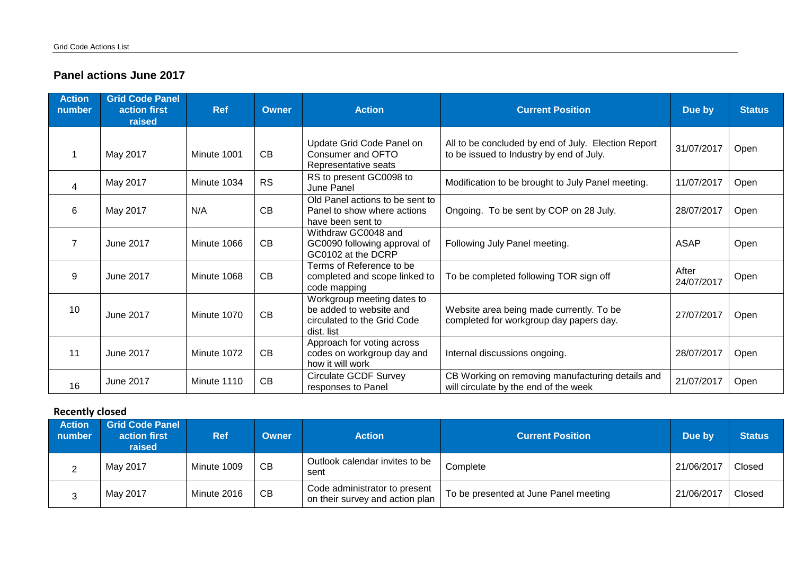## **Panel actions June 2017**

| <b>Action</b><br>number | <b>Grid Code Panel</b><br>action first<br>raised | <b>Ref</b>  | <b>Owner</b> | <b>Action</b>                                                                                      | <b>Current Position</b>                                                                         | Due by              | <b>Status</b> |
|-------------------------|--------------------------------------------------|-------------|--------------|----------------------------------------------------------------------------------------------------|-------------------------------------------------------------------------------------------------|---------------------|---------------|
|                         | May 2017                                         | Minute 1001 | CB           | Update Grid Code Panel on<br>Consumer and OFTO<br>Representative seats                             | All to be concluded by end of July. Election Report<br>to be issued to Industry by end of July. | 31/07/2017          | Open          |
| 4                       | May 2017                                         | Minute 1034 | <b>RS</b>    | RS to present GC0098 to<br>June Panel                                                              | Modification to be brought to July Panel meeting.                                               | 11/07/2017          | Open          |
| 6                       | May 2017                                         | N/A         | CB           | Old Panel actions to be sent to<br>Panel to show where actions<br>have been sent to                | Ongoing. To be sent by COP on 28 July.                                                          | 28/07/2017          | Open          |
| $\overline{7}$          | June 2017                                        | Minute 1066 | CB           | Withdraw GC0048 and<br>GC0090 following approval of<br>GC0102 at the DCRP                          | Following July Panel meeting.                                                                   | <b>ASAP</b>         | Open          |
| 9                       | June 2017                                        | Minute 1068 | CB           | Terms of Reference to be<br>completed and scope linked to<br>code mapping                          | To be completed following TOR sign off                                                          | After<br>24/07/2017 | Open          |
| 10                      | June 2017                                        | Minute 1070 | CB           | Workgroup meeting dates to<br>be added to website and<br>circulated to the Grid Code<br>dist. list | Website area being made currently. To be<br>completed for workgroup day papers day.             | 27/07/2017          | Open          |
| 11                      | June 2017                                        | Minute 1072 | CB           | Approach for voting across<br>codes on workgroup day and<br>how it will work                       | Internal discussions ongoing.                                                                   | 28/07/2017          | Open          |
| 16                      | June 2017                                        | Minute 1110 | CB           | <b>Circulate GCDF Survey</b><br>responses to Panel                                                 | CB Working on removing manufacturing details and<br>will circulate by the end of the week       | 21/07/2017          | Open          |

## **Recently closed**

| <b>Action</b><br>number | <b>Grid Code Panel</b><br>action first<br>raised | <b>Ref</b>  | <b>Owner</b> | <b>Action</b>                                                    | <b>Current Position</b>               | Due by     | <b>Status</b> |
|-------------------------|--------------------------------------------------|-------------|--------------|------------------------------------------------------------------|---------------------------------------|------------|---------------|
| ∼                       | May 2017                                         | Minute 1009 | СB           | Outlook calendar invites to be<br>sent                           | Complete                              | 21/06/201  | Closed        |
| ว<br>ັ                  | May 2017                                         | Minute 2016 | CB           | Code administrator to present<br>on their survey and action plan | To be presented at June Panel meeting | 21/06/2017 | Closed        |